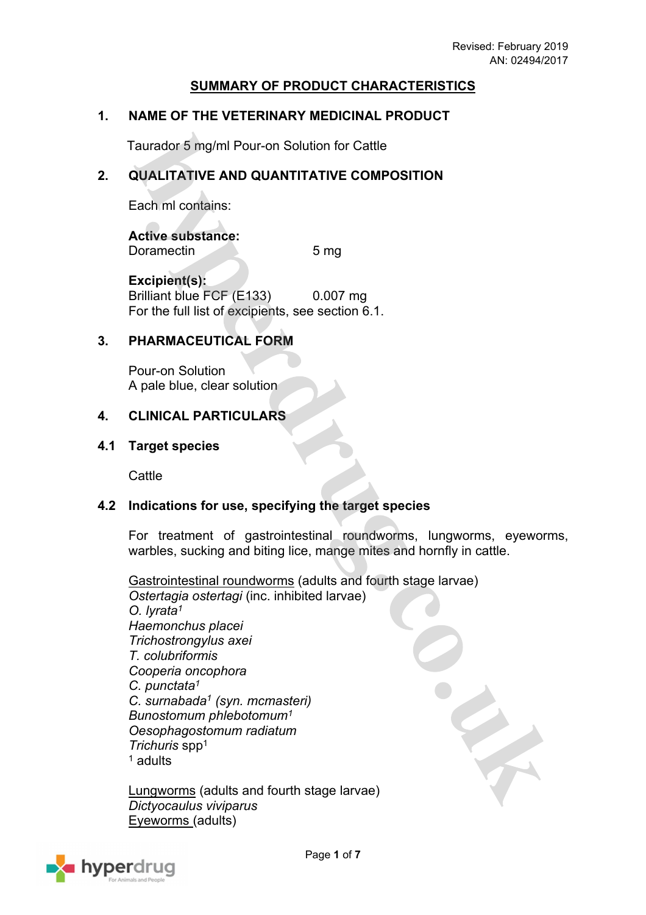### **SUMMARY OF PRODUCT CHARACTERISTICS**

### **1. NAME OF THE VETERINARY MEDICINAL PRODUCT**

Taurador 5 mg/ml Pour-on Solution for Cattle

### **2. QUALITATIVE AND QUANTITATIVE COMPOSITION**

Each ml contains:

**Active substance:** Doramectin 5 mg

**Excipient(s):** Brilliant blue FCF (E133) 0.007 mg For the full list of excipients, see section 6.1.

### **3. PHARMACEUTICAL FORM**

Pour-on Solution A pale blue, clear solution

### **4. CLINICAL PARTICULARS**

#### **4.1 Target species**

**Cattle** 

### **4.2 Indications for use, specifying the target species**

For treatment of gastrointestinal roundworms, lungworms, eyeworms, warbles, sucking and biting lice, mange mites and hornfly in cattle.

Gastrointestinal roundworms (adults and fourth stage larvae) *Ostertagia ostertagi* (inc. inhibited larvae) *O. lyrata<sup>1</sup> Haemonchus placei Trichostrongylus axei T. colubriformis Cooperia oncophora C. punctata<sup>1</sup> C. surnabada<sup>1</sup> (syn. mcmasteri) Bunostomum phlebotomum<sup>1</sup> Oesophagostomum radiatum Trichuris* spp<sup>1</sup> 1 adults

Lungworms (adults and fourth stage larvae) *Dictyocaulus viviparus* Eyeworms (adults)

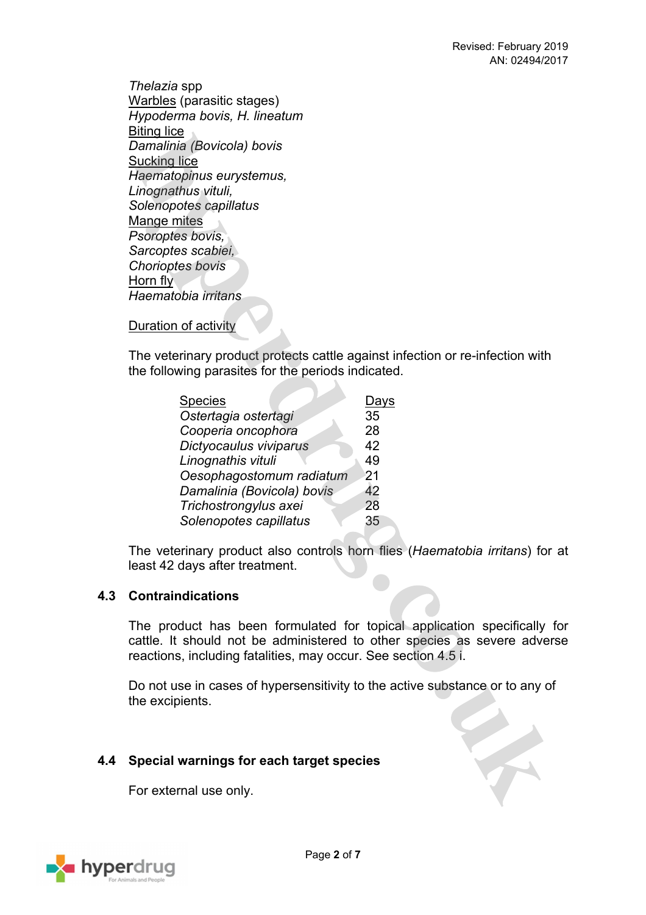*Thelazia* spp Warbles (parasitic stages) *Hypoderma bovis, H. lineatum* Biting lice *Damalinia (Bovicola) bovis* Sucking lice *Haematopinus eurystemus, Linognathus vituli, Solenopotes capillatus* Mange mites *Psoroptes bovis, Sarcoptes scabiei, Chorioptes bovis* Horn fly *Haematobia irritans*

Duration of activity

The veterinary product protects cattle against infection or re-infection with the following parasites for the periods indicated.

N X

| <b>Species</b>             | Days |
|----------------------------|------|
| Ostertagia ostertagi       | 35   |
| Cooperia oncophora         | 28   |
| Dictyocaulus viviparus     | 42   |
| Linognathis vituli         | 49   |
| Oesophagostomum radiatum   | 21   |
| Damalinia (Bovicola) bovis | 42   |
| Trichostrongylus axei      | 28   |
| Solenopotes capillatus     | 35   |

The veterinary product also controls horn flies (*Haematobia irritans*) for at least 42 days after treatment.

### **4.3 Contraindications**

The product has been formulated for topical application specifically for cattle. It should not be administered to other species as severe adverse reactions, including fatalities, may occur. See section 4.5 i.

Do not use in cases of hypersensitivity to the active substance or to any of the excipients.

### **4.4 Special warnings for each target species**

For external use only.

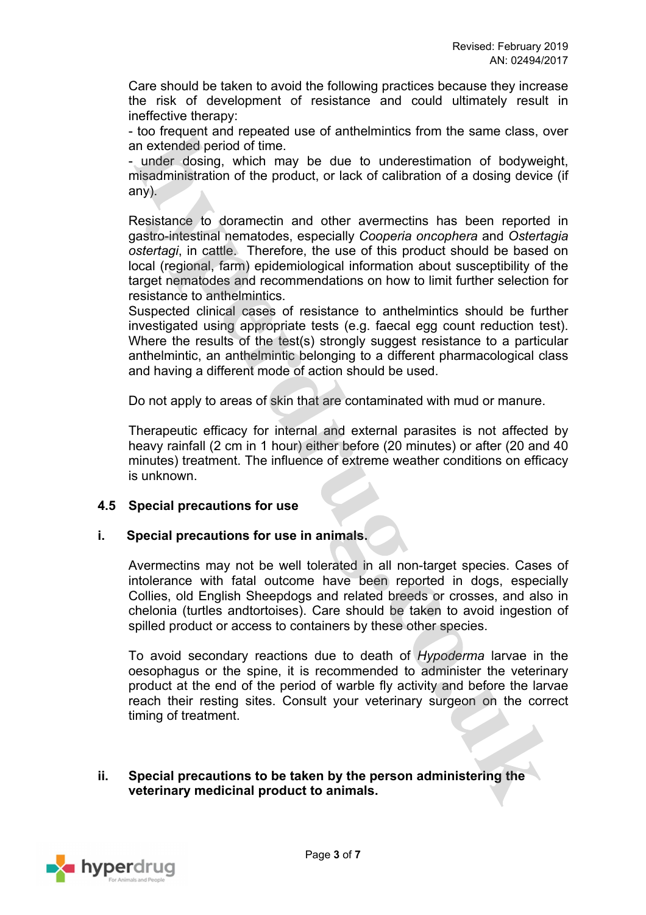Care should be taken to avoid the following practices because they increase the risk of development of resistance and could ultimately result in ineffective therapy:

- too frequent and repeated use of anthelmintics from the same class, over an extended period of time.

- under dosing, which may be due to underestimation of bodyweight, misadministration of the product, or lack of calibration of a dosing device (if any).

Resistance to doramectin and other avermectins has been reported in gastro-intestinal nematodes, especially *Cooperia oncophera* and *Ostertagia ostertagi*, in cattle. Therefore, the use of this product should be based on local (regional, farm) epidemiological information about susceptibility of the target nematodes and recommendations on how to limit further selection for resistance to anthelmintics.

Suspected clinical cases of resistance to anthelmintics should be further investigated using appropriate tests (e.g. faecal egg count reduction test). Where the results of the test(s) strongly suggest resistance to a particular anthelmintic, an anthelmintic belonging to a different pharmacological class and having a different mode of action should be used.

Do not apply to areas of skin that are contaminated with mud or manure.

Therapeutic efficacy for internal and external parasites is not affected by heavy rainfall (2 cm in 1 hour) either before (20 minutes) or after (20 and 40 minutes) treatment. The influence of extreme weather conditions on efficacy is unknown.

### **4.5 Special precautions for use**

### **i. Special precautions for use in animals.**

Avermectins may not be well tolerated in all non-target species. Cases of intolerance with fatal outcome have been reported in dogs, especially Collies, old English Sheepdogs and related breeds or crosses, and also in chelonia (turtles andtortoises). Care should be taken to avoid ingestion of spilled product or access to containers by these other species.

To avoid secondary reactions due to death of *Hypoderma* larvae in the oesophagus or the spine, it is recommended to administer the veterinary product at the end of the period of warble fly activity and before the larvae reach their resting sites. Consult your veterinary surgeon on the correct timing of treatment.

#### **ii. Special precautions to be taken by the person administering the veterinary medicinal product to animals.**

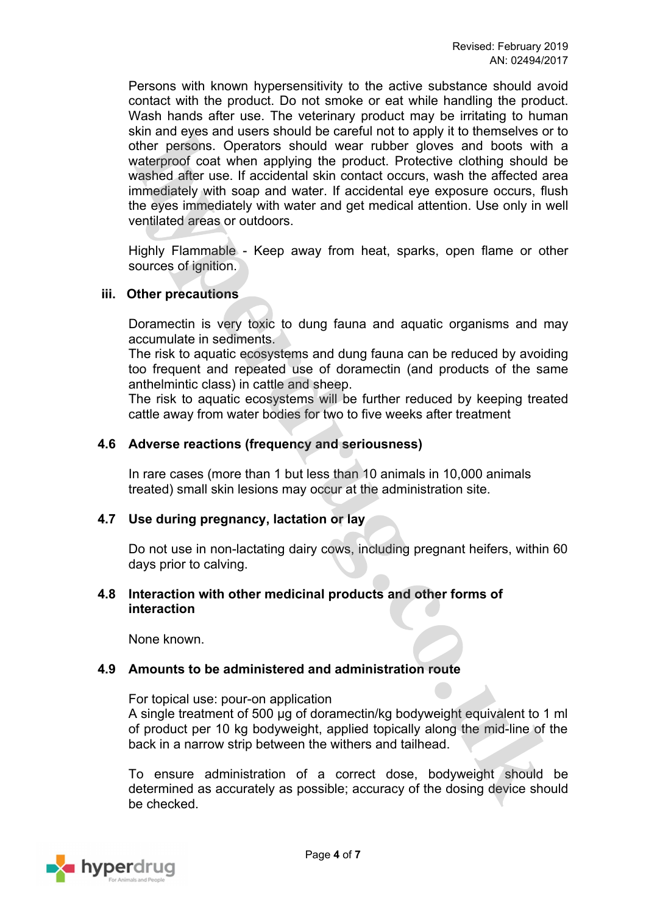Persons with known hypersensitivity to the active substance should avoid contact with the product. Do not smoke or eat while handling the product. Wash hands after use. The veterinary product may be irritating to human skin and eyes and users should be careful not to apply it to themselves or to other persons. Operators should wear rubber gloves and boots with a waterproof coat when applying the product. Protective clothing should be washed after use. If accidental skin contact occurs, wash the affected area immediately with soap and water. If accidental eye exposure occurs, flush the eyes immediately with water and get medical attention. Use only in well ventilated areas or outdoors.

Highly Flammable - Keep away from heat, sparks, open flame or other sources of ignition.

#### **iii. Other precautions**

Doramectin is very toxic to dung fauna and aquatic organisms and may accumulate in sediments.

The risk to aquatic ecosystems and dung fauna can be reduced by avoiding too frequent and repeated use of doramectin (and products of the same anthelmintic class) in cattle and sheep.

The risk to aquatic ecosystems will be further reduced by keeping treated cattle away from water bodies for two to five weeks after treatment

#### **4.6 Adverse reactions (frequency and seriousness)**

In rare cases (more than 1 but less than 10 animals in 10,000 animals treated) small skin lesions may occur at the administration site.

### **4.7 Use during pregnancy, lactation or lay**

Do not use in non-lactating dairy cows, including pregnant heifers, within 60 days prior to calving.

#### **4.8 Interaction with other medicinal products and other forms of interaction**

None known.

#### **4.9 Amounts to be administered and administration route**

For topical use: pour-on application A single treatment of 500 µg of doramectin/kg bodyweight equivalent to 1 ml of product per 10 kg bodyweight, applied topically along the mid-line of the back in a narrow strip between the withers and tailhead.

To ensure administration of a correct dose, bodyweight should be determined as accurately as possible; accuracy of the dosing device should be checked.

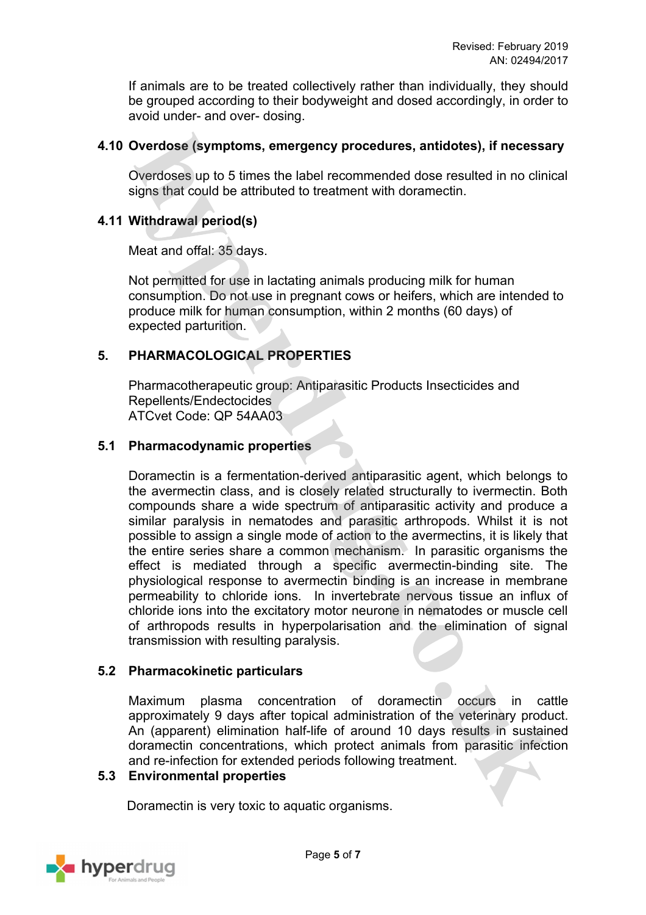If animals are to be treated collectively rather than individually, they should be grouped according to their bodyweight and dosed accordingly, in order to avoid under- and over- dosing.

### **4.10 Overdose (symptoms, emergency procedures, antidotes), if necessary**

Overdoses up to 5 times the label recommended dose resulted in no clinical signs that could be attributed to treatment with doramectin.

### **4.11 Withdrawal period(s)**

Meat and offal: 35 days.

Not permitted for use in lactating animals producing milk for human consumption. Do not use in pregnant cows or heifers, which are intended to produce milk for human consumption, within 2 months (60 days) of expected parturition.

## **5. PHARMACOLOGICAL PROPERTIES**

Pharmacotherapeutic group: Antiparasitic Products Insecticides and Repellents/Endectocides ATCvet Code: QP 54AA03

### **5.1 Pharmacodynamic properties**

Doramectin is a fermentation-derived antiparasitic agent, which belongs to the avermectin class, and is closely related structurally to ivermectin. Both compounds share a wide spectrum of antiparasitic activity and produce a similar paralysis in nematodes and parasitic arthropods. Whilst it is not possible to assign a single mode of action to the avermectins, it is likely that the entire series share a common mechanism. In parasitic organisms the effect is mediated through a specific avermectin-binding site. The physiological response to avermectin binding is an increase in membrane permeability to chloride ions. In invertebrate nervous tissue an influx of chloride ions into the excitatory motor neurone in nematodes or muscle cell of arthropods results in hyperpolarisation and the elimination of signal transmission with resulting paralysis.

### **5.2 Pharmacokinetic particulars**

Maximum plasma concentration of doramectin occurs in cattle approximately 9 days after topical administration of the veterinary product. An (apparent) elimination half-life of around 10 days results in sustained doramectin concentrations, which protect animals from parasitic infection and re-infection for extended periods following treatment.

### **5.3 Environmental properties**

Doramectin is very toxic to aquatic organisms.

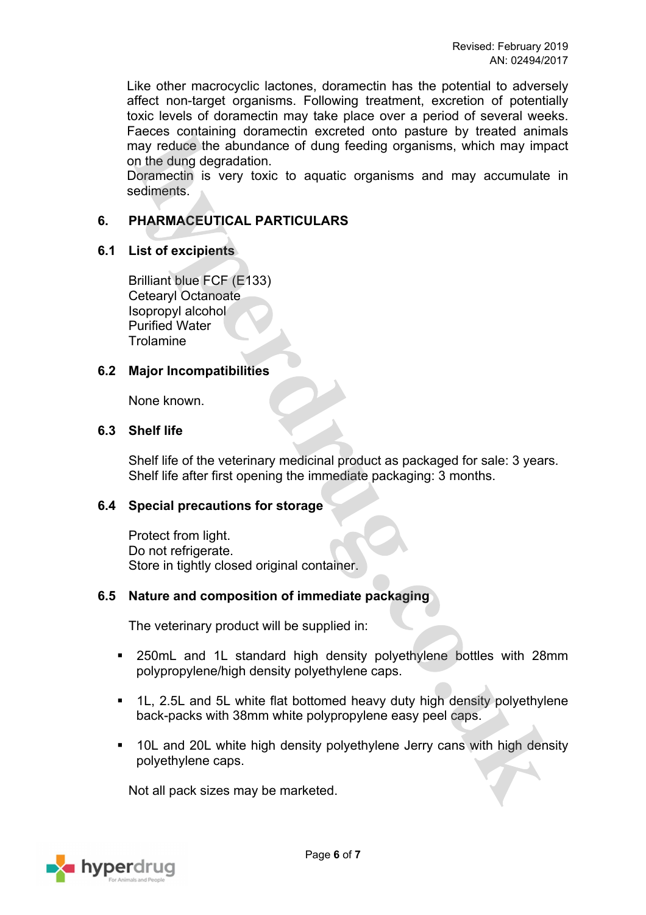Like other macrocyclic lactones, doramectin has the potential to adversely affect non-target organisms. Following treatment, excretion of potentially toxic levels of doramectin may take place over a period of several weeks. Faeces containing doramectin excreted onto pasture by treated animals may reduce the abundance of dung feeding organisms, which may impact on the dung degradation.

Doramectin is very toxic to aquatic organisms and may accumulate in sediments.

## **6. PHARMACEUTICAL PARTICULARS**

### **6.1 List of excipients**

Brilliant blue FCF (E133) Cetearyl Octanoate Isopropyl alcohol Purified Water **Trolamine** 

### **6.2 Major Incompatibilities**

None known.

### **6.3 Shelf life**

Shelf life of the veterinary medicinal product as packaged for sale: 3 years. Shelf life after first opening the immediate packaging: 3 months.

### **6.4 Special precautions for storage**

Protect from light. Do not refrigerate. Store in tightly closed original container.

### **6.5 Nature and composition of immediate packaging**

The veterinary product will be supplied in:

- 250mL and 1L standard high density polyethylene bottles with 28mm polypropylene/high density polyethylene caps.
- 1L, 2.5L and 5L white flat bottomed heavy duty high density polyethylene back-packs with 38mm white polypropylene easy peel caps.
- 10L and 20L white high density polyethylene Jerry cans with high density polyethylene caps.

Not all pack sizes may be marketed.